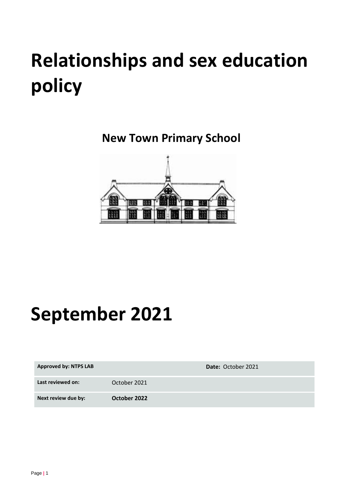# **Relationships and sex education policy**

**New Town Primary School**



## **September 2021**

| <b>Approved by: NTPS LAB</b> |              | Date: October 2021 |
|------------------------------|--------------|--------------------|
| Last reviewed on:            | October 2021 |                    |
| Next review due by:          | October 2022 |                    |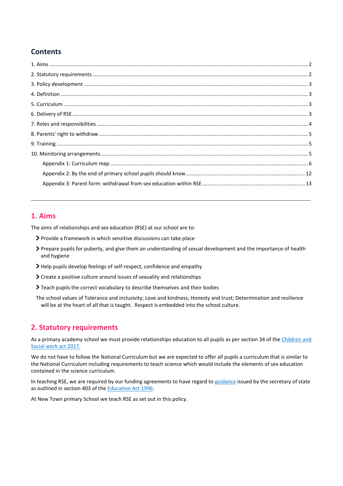## **Contents**

## <span id="page-1-0"></span>**1. Aims**

The aims of relationships and sex education (RSE) at our school are to:

- Provide a framework in which sensitive discussions can take place
- Prepare pupils for puberty, and give them an understanding of sexual development and the importance of health and hygiene
- Help pupils develop feelings of self-respect, confidence and empathy
- Create a positive culture around issues of sexuality and relationships
- Teach pupils the correct vocabulary to describe themselves and their bodies
- The school values of Tolerance and inclusivity; Love and kindness; Honesty and trust; Determination and resilience will be at the heart of all that is taught. Respect is embedded into the school culture.

## <span id="page-1-1"></span>**2. Statutory requirements**

As a primary academy school we must provide relationships education to all pupils as per section 34 of the Children and [Social work act 2017.](http://www.legislation.gov.uk/ukpga/2017/16/section/34/enacted)

We do not have to follow the National Curriculum but we are expected to offer all pupils a curriculum that is similar to the National Curriculum including requirements to teach science which would include the elements of sex education contained in the science curriculum.

In teaching RSE, we are required by our funding agreements to have regard t[o guidance](https://www.gov.uk/government/consultations/relationships-and-sex-education-and-health-education) issued by the secretary of state as outlined in section 403 of th[e Education Act 1996.](http://www.legislation.gov.uk/ukpga/1996/56/contents)

<span id="page-1-2"></span>At New Town primary School we teach RSE as set out in this policy.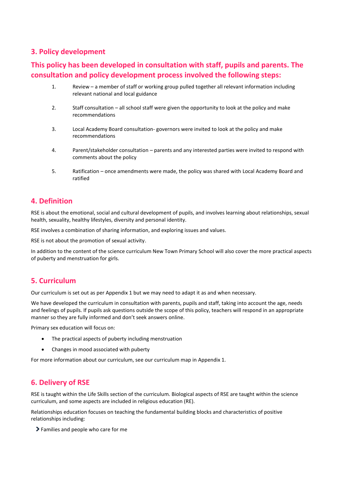## **3. Policy development**

## **This policy has been developed in consultation with staff, pupils and parents. The consultation and policy development process involved the following steps:**

- 1. Review a member of staff or working group pulled together all relevant information including relevant national and local guidance
- 2. Staff consultation all school staff were given the opportunity to look at the policy and make recommendations
- 3. Local Academy Board consultation- governors were invited to look at the policy and make recommendations
- 4. Parent/stakeholder consultation parents and any interested parties were invited to respond with comments about the policy
- 5. Ratification once amendments were made, the policy was shared with Local Academy Board and ratified

#### <span id="page-2-0"></span>**4. Definition**

RSE is about the emotional, social and cultural development of pupils, and involves learning about relationships, sexual health, sexuality, healthy lifestyles, diversity and personal identity.

RSE involves a combination of sharing information, and exploring issues and values.

RSE is not about the promotion of sexual activity.

In addition to the content of the science curriculum New Town Primary School will also cover the more practical aspects of puberty and menstruation for girls.

#### <span id="page-2-1"></span>**5. Curriculum**

Our curriculum is set out as per Appendix 1 but we may need to adapt it as and when necessary.

We have developed the curriculum in consultation with parents, pupils and staff, taking into account the age, needs and feelings of pupils. If pupils ask questions outside the scope of this policy, teachers will respond in an appropriate manner so they are fully informed and don't seek answers online.

Primary sex education will focus on:

- The practical aspects of puberty including menstruation
- Changes in mood associated with puberty

For more information about our curriculum, see our curriculum map in Appendix 1.

#### <span id="page-2-2"></span>**6. Delivery of RSE**

RSE is taught within the Life Skills section of the curriculum. Biological aspects of RSE are taught within the science curriculum, and some aspects are included in religious education (RE).

Relationships education focuses on teaching the fundamental building blocks and characteristics of positive relationships including:

Families and people who care for me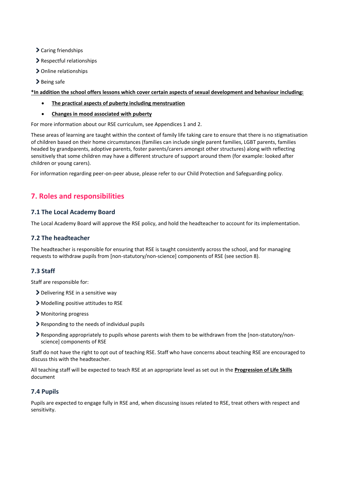- Caring friendships
- Respectful relationships
- > Online relationships
- > Being safe

**\*In addition the school offers lessons which cover certain aspects of sexual development and behaviour including:**

- **The practical aspects of puberty including menstruation**
- **Changes in mood associated with puberty**

For more information about our RSE curriculum, see Appendices 1 and 2.

These areas of learning are taught within the context of family life taking care to ensure that there is no stigmatisation of children based on their home circumstances (families can include single parent families, LGBT parents, families headed by grandparents, adoptive parents, foster parents/carers amongst other structures) along with reflecting sensitively that some children may have a different structure of support around them (for example: looked after children or young carers).

For information regarding peer-on-peer abuse, please refer to our Child Protection and Safeguarding policy.

## <span id="page-3-0"></span>**7. Roles and responsibilities**

#### **7.1 The Local Academy Board**

The Local Academy Board will approve the RSE policy, and hold the headteacher to account for its implementation.

#### **7.2 The headteacher**

The headteacher is responsible for ensuring that RSE is taught consistently across the school, and for managing requests to withdraw pupils from [non-statutory/non-science] components of RSE (see section 8).

#### **7.3 Staff**

Staff are responsible for:

- > Delivering RSE in a sensitive way
- Modelling positive attitudes to RSE
- > Monitoring progress
- Responding to the needs of individual pupils
- Responding appropriately to pupils whose parents wish them to be withdrawn from the [non-statutory/nonscience] components of RSE

Staff do not have the right to opt out of teaching RSE. Staff who have concerns about teaching RSE are encouraged to discuss this with the headteacher.

All teaching staff will be expected to teach RSE at an appropriate level as set out in the **Progression of Life Skills** document

#### **7.4 Pupils**

Pupils are expected to engage fully in RSE and, when discussing issues related to RSE, treat others with respect and sensitivity.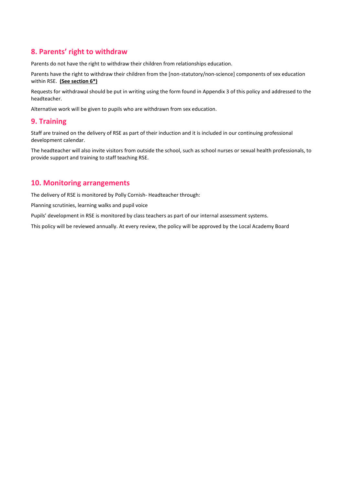## <span id="page-4-0"></span>**8. Parents' right to withdraw**

Parents do not have the right to withdraw their children from relationships education.

Parents have the right to withdraw their children from the [non-statutory/non-science] components of sex education within RSE. **(See section 6\*)**

Requests for withdrawal should be put in writing using the form found in Appendix 3 of this policy and addressed to the headteacher.

Alternative work will be given to pupils who are withdrawn from sex education.

#### <span id="page-4-1"></span>**9. Training**

Staff are trained on the delivery of RSE as part of their induction and it is included in our continuing professional development calendar.

The headteacher will also invite visitors from outside the school, such as school nurses or sexual health professionals, to provide support and training to staff teaching RSE.

## <span id="page-4-2"></span>**10. Monitoring arrangements**

The delivery of RSE is monitored by Polly Cornish- Headteacher through:

Planning scrutinies, learning walks and pupil voice

Pupils' development in RSE is monitored by class teachers as part of our internal assessment systems.

This policy will be reviewed annually. At every review, the policy will be approved by the Local Academy Board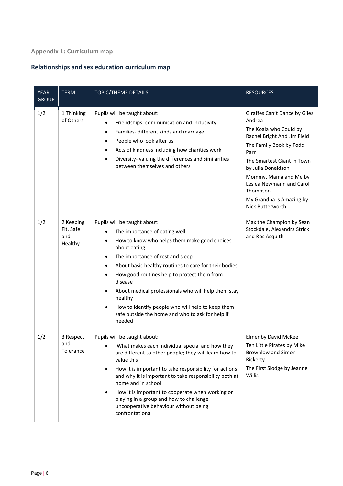## <span id="page-5-0"></span>**Appendix 1: Curriculum map**

## **Relationships and sex education curriculum map**

| <b>YEAR</b><br><b>GROUP</b> | <b>TERM</b>                              | <b>TOPIC/THEME DETAILS</b>                                                                                                                                                                                                                                                                                                                                                                                                                                                                                                                              | <b>RESOURCES</b>                                                                                                                                                                                                                                                                                         |
|-----------------------------|------------------------------------------|---------------------------------------------------------------------------------------------------------------------------------------------------------------------------------------------------------------------------------------------------------------------------------------------------------------------------------------------------------------------------------------------------------------------------------------------------------------------------------------------------------------------------------------------------------|----------------------------------------------------------------------------------------------------------------------------------------------------------------------------------------------------------------------------------------------------------------------------------------------------------|
| 1/2                         | 1 Thinking<br>of Others                  | Pupils will be taught about:<br>Friendships-communication and inclusivity<br>$\bullet$<br>Families- different kinds and marriage<br>$\bullet$<br>People who look after us<br>٠<br>Acts of kindness including how charities work<br>$\bullet$<br>Diversity-valuing the differences and similarities<br>$\bullet$<br>between themselves and others                                                                                                                                                                                                        | Giraffes Can't Dance by Giles<br>Andrea<br>The Koala who Could by<br>Rachel Bright And Jim Field<br>The Family Book by Todd<br>Parr<br>The Smartest Giant in Town<br>by Julia Donaldson<br>Mommy, Mama and Me by<br>Leslea Newmann and Carol<br>Thompson<br>My Grandpa is Amazing by<br>Nick Butterworth |
| 1/2                         | 2 Keeping<br>Fit, Safe<br>and<br>Healthy | Pupils will be taught about:<br>The importance of eating well<br>How to know who helps them make good choices<br>$\bullet$<br>about eating<br>The importance of rest and sleep<br>$\bullet$<br>About basic healthy routines to care for their bodies<br>$\bullet$<br>How good routines help to protect them from<br>$\bullet$<br>disease<br>About medical professionals who will help them stay<br>$\bullet$<br>healthy<br>How to identify people who will help to keep them<br>$\bullet$<br>safe outside the home and who to ask for help if<br>needed | Max the Champion by Sean<br>Stockdale, Alexandra Strick<br>and Ros Asquith                                                                                                                                                                                                                               |
| 1/2                         | 3 Respect<br>and<br>Tolerance            | Pupils will be taught about:<br>What makes each individual special and how they<br>are different to other people; they will learn how to<br>value this<br>How it is important to take responsibility for actions<br>$\bullet$<br>and why it is important to take responsibility both at<br>home and in school<br>How it is important to cooperate when working or<br>$\bullet$<br>playing in a group and how to challenge<br>uncooperative behaviour without being<br>confrontational                                                                   | Elmer by David McKee<br>Ten Little Pirates by Mike<br><b>Brownlow and Simon</b><br>Rickerty<br>The First Slodge by Jeanne<br><b>Willis</b>                                                                                                                                                               |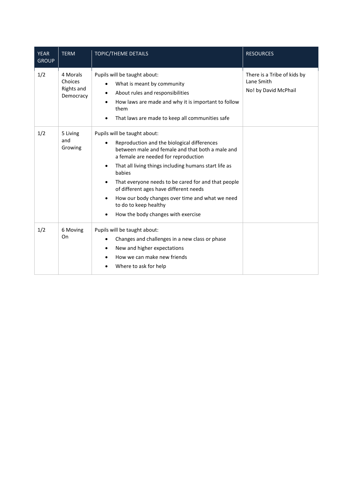| <b>YEAR</b><br><b>GROUP</b> | <b>TERM</b>                                           | TOPIC/THEME DETAILS                                                                                                                                                                                                                                                                                                                                                                                                                                                        | <b>RESOURCES</b>                                                  |
|-----------------------------|-------------------------------------------------------|----------------------------------------------------------------------------------------------------------------------------------------------------------------------------------------------------------------------------------------------------------------------------------------------------------------------------------------------------------------------------------------------------------------------------------------------------------------------------|-------------------------------------------------------------------|
| 1/2                         | 4 Morals<br>Choices<br><b>Rights and</b><br>Democracy | Pupils will be taught about:<br>What is meant by community<br>About rules and responsibilities<br>How laws are made and why it is important to follow<br>them<br>That laws are made to keep all communities safe                                                                                                                                                                                                                                                           | There is a Tribe of kids by<br>Lane Smith<br>No! by David McPhail |
| 1/2                         | 5 Living<br>and<br>Growing                            | Pupils will be taught about:<br>Reproduction and the biological differences<br>between male and female and that both a male and<br>a female are needed for reproduction<br>That all living things including humans start life as<br>$\bullet$<br>babies<br>That everyone needs to be cared for and that people<br>of different ages have different needs<br>How our body changes over time and what we need<br>to do to keep healthy<br>How the body changes with exercise |                                                                   |
| 1/2                         | 6 Moving<br>On                                        | Pupils will be taught about:<br>Changes and challenges in a new class or phase<br>$\bullet$<br>New and higher expectations<br>$\bullet$<br>How we can make new friends<br>Where to ask for help<br>٠                                                                                                                                                                                                                                                                       |                                                                   |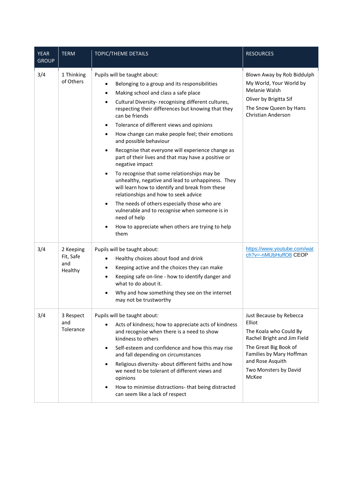| <b>YEAR</b><br><b>GROUP</b> | <b>TERM</b>                              | <b>TOPIC/THEME DETAILS</b>                                                                                                                                                                                                                                                                                                                                                                                                                                                                                                                                                                                                                                                                                                                                                                                                                                                                                                                                  | <b>RESOURCES</b>                                                                                                                                                                                      |
|-----------------------------|------------------------------------------|-------------------------------------------------------------------------------------------------------------------------------------------------------------------------------------------------------------------------------------------------------------------------------------------------------------------------------------------------------------------------------------------------------------------------------------------------------------------------------------------------------------------------------------------------------------------------------------------------------------------------------------------------------------------------------------------------------------------------------------------------------------------------------------------------------------------------------------------------------------------------------------------------------------------------------------------------------------|-------------------------------------------------------------------------------------------------------------------------------------------------------------------------------------------------------|
| 3/4                         | 1 Thinking<br>of Others                  | Pupils will be taught about:<br>Belonging to a group and its responsibilities<br>Making school and class a safe place<br>$\bullet$<br>Cultural Diversity- recognising different cultures,<br>$\bullet$<br>respecting their differences but knowing that they<br>can be friends<br>Tolerance of different views and opinions<br>$\bullet$<br>How change can make people feel; their emotions<br>$\bullet$<br>and possible behaviour<br>Recognise that everyone will experience change as<br>part of their lives and that may have a positive or<br>negative impact<br>To recognise that some relationships may be<br>unhealthy, negative and lead to unhappiness. They<br>will learn how to identify and break from these<br>relationships and how to seek advice<br>The needs of others especially those who are<br>$\bullet$<br>vulnerable and to recognise when someone is in<br>need of help<br>How to appreciate when others are trying to help<br>them | Blown Away by Rob Biddulph<br>My World, Your World by<br>Melanie Walsh<br>Oliver by Brigitta Sif<br>The Snow Queen by Hans<br>Christian Anderson                                                      |
| 3/4                         | 2 Keeping<br>Fit, Safe<br>and<br>Healthy | Pupils will be taught about:<br>Healthy choices about food and drink<br>٠<br>Keeping active and the choices they can make<br>$\bullet$<br>Keeping safe on-line - how to identify danger and<br>$\bullet$<br>what to do about it.<br>Why and how something they see on the internet<br>may not be trustworthy                                                                                                                                                                                                                                                                                                                                                                                                                                                                                                                                                                                                                                                | https://www.youtube.com/wat<br>ch?v=-nMUbHuffO8 CEOP                                                                                                                                                  |
| 3/4                         | 3 Respect<br>and<br>Tolerance            | Pupils will be taught about:<br>Acts of kindness; how to appreciate acts of kindness<br>and recognise when there is a need to show<br>kindness to others<br>Self-esteem and confidence and how this may rise<br>$\bullet$<br>and fall depending on circumstances<br>Religious diversity- about different faiths and how<br>$\bullet$<br>we need to be tolerant of different views and<br>opinions<br>How to minimise distractions- that being distracted<br>can seem like a lack of respect                                                                                                                                                                                                                                                                                                                                                                                                                                                                 | Just Because by Rebecca<br>Elliot<br>The Koala who Could By<br>Rachel Bright and Jim Field<br>The Great Big Book of<br>Families by Mary Hoffman<br>and Rose Asquith<br>Two Monsters by David<br>McKee |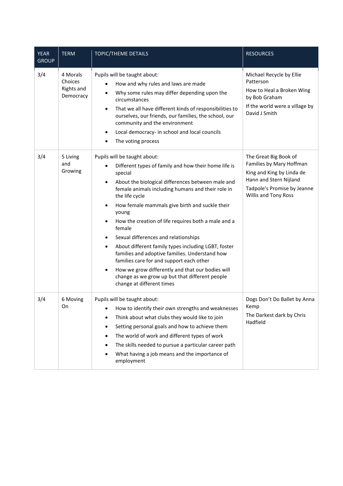| <b>YEAR</b><br><b>GROUP</b> | <b>TERM</b>                                           | TOPIC/THEME DETAILS                                                                                                                                                                                                                                                                                                                                                                                                                                                                                                                                                                                                                                                                                                                 | <b>RESOURCES</b>                                                                                                                                                |
|-----------------------------|-------------------------------------------------------|-------------------------------------------------------------------------------------------------------------------------------------------------------------------------------------------------------------------------------------------------------------------------------------------------------------------------------------------------------------------------------------------------------------------------------------------------------------------------------------------------------------------------------------------------------------------------------------------------------------------------------------------------------------------------------------------------------------------------------------|-----------------------------------------------------------------------------------------------------------------------------------------------------------------|
| 3/4                         | 4 Morals<br>Choices<br><b>Rights and</b><br>Democracy | Pupils will be taught about:<br>How and why rules and laws are made<br>Why some rules may differ depending upon the<br>circumstances<br>That we all have different kinds of responsibilities to<br>ourselves, our friends, our families, the school, our<br>community and the environment<br>Local democracy- in school and local councils<br>$\bullet$<br>The voting process                                                                                                                                                                                                                                                                                                                                                       | Michael Recycle by Ellie<br>Patterson<br>How to Heal a Broken Wing<br>by Bob Graham<br>If the world were a village by<br>David J Smith                          |
| 3/4                         | 5 Living<br>and<br>Growing                            | Pupils will be taught about:<br>Different types of family and how their home life is<br>special<br>About the biological differences between male and<br>$\bullet$<br>female animals including humans and their role in<br>the life cycle<br>How female mammals give birth and suckle their<br>$\bullet$<br>young<br>How the creation of life requires both a male and a<br>$\bullet$<br>female<br>Sexual differences and relationships<br>About different family types including LGBT, foster<br>٠<br>families and adoptive families. Understand how<br>families care for and support each other<br>How we grow differently and that our bodies will<br>change as we grow up but that different people<br>change at different times | The Great Big Book of<br>Families by Mary Hoffman<br>King and King by Linda de<br>Hann and Stern Nijland<br>Tadpole's Promise by Jeanne<br>Willis and Tony Ross |
| 3/4                         | 6 Moving<br>On                                        | Pupils will be taught about:<br>How to identify their own strengths and weaknesses<br>Think about what clubs they would like to join<br>$\bullet$<br>Setting personal goals and how to achieve them<br>٠<br>The world of work and different types of work<br>$\bullet$<br>The skills needed to pursue a particular career path<br>What having a job means and the importance of<br>employment                                                                                                                                                                                                                                                                                                                                       | Dogs Don't Do Ballet by Anna<br>Kemp<br>The Darkest dark by Chris<br>Hadfield                                                                                   |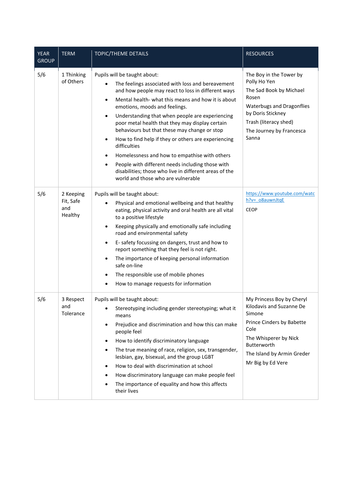| <b>YEAR</b><br><b>GROUP</b> | <b>TERM</b>                              | TOPIC/THEME DETAILS                                                                                                                                                                                                                                                                                                                                                                                                                                                                                                                                                                                                                                                                                                              | <b>RESOURCES</b>                                                                                                                                                                                   |
|-----------------------------|------------------------------------------|----------------------------------------------------------------------------------------------------------------------------------------------------------------------------------------------------------------------------------------------------------------------------------------------------------------------------------------------------------------------------------------------------------------------------------------------------------------------------------------------------------------------------------------------------------------------------------------------------------------------------------------------------------------------------------------------------------------------------------|----------------------------------------------------------------------------------------------------------------------------------------------------------------------------------------------------|
| 5/6                         | 1 Thinking<br>of Others                  | Pupils will be taught about:<br>The feelings associated with loss and bereavement<br>and how people may react to loss in different ways<br>Mental health-what this means and how it is about<br>$\bullet$<br>emotions, moods and feelings.<br>Understanding that when people are experiencing<br>$\bullet$<br>poor metal health that they may display certain<br>behaviours but that these may change or stop<br>How to find help if they or others are experiencing<br>$\bullet$<br>difficulties<br>Homelessness and how to empathise with others<br>$\bullet$<br>People with different needs including those with<br>$\bullet$<br>disabilities; those who live in different areas of the<br>world and those who are vulnerable | The Boy in the Tower by<br>Polly Ho Yen<br>The Sad Book by Michael<br>Rosen<br><b>Waterbugs and Dragonflies</b><br>by Doris Stickney<br>Trash (literacy shed)<br>The Journey by Francesca<br>Sanna |
| 5/6                         | 2 Keeping<br>Fit, Safe<br>and<br>Healthy | Pupils will be taught about:<br>Physical and emotional wellbeing and that healthy<br>eating, physical activity and oral health are all vital<br>to a positive lifestyle<br>Keeping physically and emotionally safe including<br>٠<br>road and environmental safety<br>E- safety focussing on dangers, trust and how to<br>$\bullet$<br>report something that they feel is not right.<br>The importance of keeping personal information<br>$\bullet$<br>safe on-line<br>The responsible use of mobile phones<br>$\bullet$<br>How to manage requests for information<br>$\bullet$                                                                                                                                                  | https://www.youtube.com/watc<br>h?v= o8auwnJtqE<br><b>CEOP</b>                                                                                                                                     |
| 5/6                         | 3 Respect<br>and<br>Tolerance            | Pupils will be taught about:<br>Stereotyping including gender stereotyping; what it<br>$\bullet$<br>means<br>Prejudice and discrimination and how this can make<br>$\bullet$<br>people feel<br>How to identify discriminatory language<br>$\bullet$<br>The true meaning of race, religion, sex, transgender,<br>$\bullet$<br>lesbian, gay, bisexual, and the group LGBT<br>How to deal with discrimination at school<br>$\bullet$<br>How discriminatory language can make people feel<br>$\bullet$<br>The importance of equality and how this affects<br>$\bullet$<br>their lives                                                                                                                                                | My Princess Boy by Cheryl<br>Kilodavis and Suzanne De<br>Simone<br>Prince Cinders by Babette<br>Cole<br>The Whisperer by Nick<br>Butterworth<br>The Island by Armin Greder<br>Mr Big by Ed Vere    |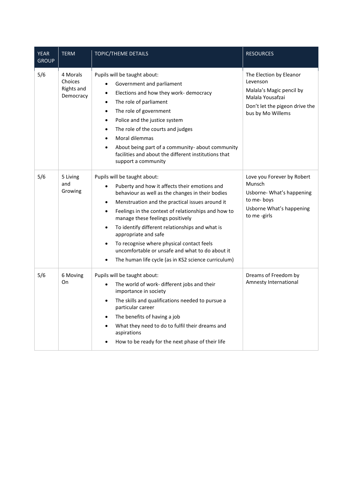| <b>YEAR</b><br><b>GROUP</b> | <b>TERM</b>                                           | TOPIC/THEME DETAILS                                                                                                                                                                                                                                                                                                                                                                                                                                                                                                                                                                | <b>RESOURCES</b>                                                                                                                           |
|-----------------------------|-------------------------------------------------------|------------------------------------------------------------------------------------------------------------------------------------------------------------------------------------------------------------------------------------------------------------------------------------------------------------------------------------------------------------------------------------------------------------------------------------------------------------------------------------------------------------------------------------------------------------------------------------|--------------------------------------------------------------------------------------------------------------------------------------------|
| 5/6                         | 4 Morals<br>Choices<br><b>Rights and</b><br>Democracy | Pupils will be taught about:<br>Government and parliament<br>Elections and how they work- democracy<br>$\bullet$<br>The role of parliament<br>٠<br>The role of government<br>$\bullet$<br>Police and the justice system<br>$\bullet$<br>The role of the courts and judges<br>$\bullet$<br>Moral dilemmas<br>$\bullet$<br>About being part of a community- about community<br>facilities and about the different institutions that<br>support a community                                                                                                                           | The Election by Eleanor<br>Levenson<br>Malala's Magic pencil by<br>Malala Yousafzai<br>Don't let the pigeon drive the<br>bus by Mo Willems |
| 5/6                         | 5 Living<br>and<br>Growing                            | Pupils will be taught about:<br>Puberty and how it affects their emotions and<br>$\bullet$<br>behaviour as well as the changes in their bodies<br>Menstruation and the practical issues around it<br>$\bullet$<br>Feelings in the context of relationships and how to<br>$\bullet$<br>manage these feelings positively<br>To identify different relationships and what is<br>$\bullet$<br>appropriate and safe<br>To recognise where physical contact feels<br>uncomfortable or unsafe and what to do about it<br>The human life cycle (as in KS2 science curriculum)<br>$\bullet$ | Love you Forever by Robert<br>Munsch<br>Usborne- What's happening<br>to me-boys<br>Usborne What's happening<br>to me -girls                |
| 5/6                         | 6 Moving<br>On                                        | Pupils will be taught about:<br>The world of work- different jobs and their<br>importance in society<br>The skills and qualifications needed to pursue a<br>$\bullet$<br>particular career<br>The benefits of having a job<br>What they need to do to fulfil their dreams and<br>aspirations<br>How to be ready for the next phase of their life                                                                                                                                                                                                                                   | Dreams of Freedom by<br>Amnesty International                                                                                              |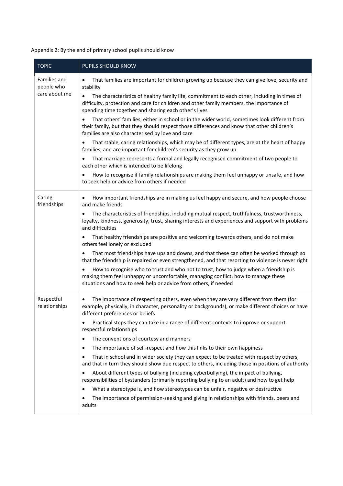<span id="page-11-0"></span>Appendix 2: By the end of primary school pupils should know

| <b>TOPIC</b>                | <b>PUPILS SHOULD KNOW</b>                                                                                                                                                                                                                             |  |  |
|-----------------------------|-------------------------------------------------------------------------------------------------------------------------------------------------------------------------------------------------------------------------------------------------------|--|--|
| Families and<br>people who  | That families are important for children growing up because they can give love, security and<br>٠<br>stability                                                                                                                                        |  |  |
| care about me               | The characteristics of healthy family life, commitment to each other, including in times of<br>٠<br>difficulty, protection and care for children and other family members, the importance of<br>spending time together and sharing each other's lives |  |  |
|                             | That others' families, either in school or in the wider world, sometimes look different from<br>their family, but that they should respect those differences and know that other children's<br>families are also characterised by love and care       |  |  |
|                             | That stable, caring relationships, which may be of different types, are at the heart of happy<br>٠<br>families, and are important for children's security as they grow up                                                                             |  |  |
|                             | That marriage represents a formal and legally recognised commitment of two people to<br>each other which is intended to be lifelong                                                                                                                   |  |  |
|                             | How to recognise if family relationships are making them feel unhappy or unsafe, and how<br>to seek help or advice from others if needed                                                                                                              |  |  |
| Caring<br>friendships       | How important friendships are in making us feel happy and secure, and how people choose<br>and make friends                                                                                                                                           |  |  |
|                             | The characteristics of friendships, including mutual respect, truthfulness, trustworthiness,<br>loyalty, kindness, generosity, trust, sharing interests and experiences and support with problems<br>and difficulties                                 |  |  |
|                             | That healthy friendships are positive and welcoming towards others, and do not make<br>٠<br>others feel lonely or excluded                                                                                                                            |  |  |
|                             | That most friendships have ups and downs, and that these can often be worked through so<br>that the friendship is repaired or even strengthened, and that resorting to violence is never right                                                        |  |  |
|                             | How to recognise who to trust and who not to trust, how to judge when a friendship is<br>making them feel unhappy or uncomfortable, managing conflict, how to manage these<br>situations and how to seek help or advice from others, if needed        |  |  |
| Respectful<br>relationships | The importance of respecting others, even when they are very different from them (for<br>$\bullet$<br>example, physically, in character, personality or backgrounds), or make different choices or have<br>different preferences or beliefs           |  |  |
|                             | Practical steps they can take in a range of different contexts to improve or support<br>respectful relationships                                                                                                                                      |  |  |
|                             | The conventions of courtesy and manners<br>٠                                                                                                                                                                                                          |  |  |
|                             | The importance of self-respect and how this links to their own happiness<br>٠                                                                                                                                                                         |  |  |
|                             | That in school and in wider society they can expect to be treated with respect by others,<br>٠<br>and that in turn they should show due respect to others, including those in positions of authority                                                  |  |  |
|                             | About different types of bullying (including cyberbullying), the impact of bullying,<br>responsibilities of bystanders (primarily reporting bullying to an adult) and how to get help                                                                 |  |  |
|                             | What a stereotype is, and how stereotypes can be unfair, negative or destructive<br>$\bullet$                                                                                                                                                         |  |  |
|                             | The importance of permission-seeking and giving in relationships with friends, peers and<br>adults                                                                                                                                                    |  |  |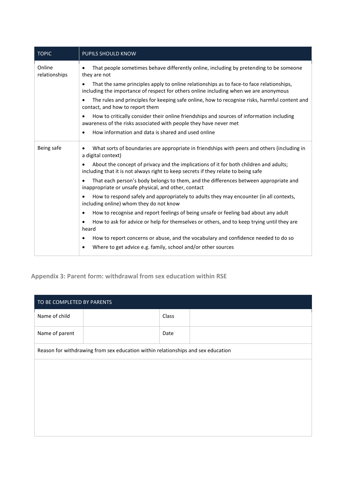| <b>TOPIC</b>            | <b>PUPILS SHOULD KNOW</b>                                                                                                                                                                      |  |  |
|-------------------------|------------------------------------------------------------------------------------------------------------------------------------------------------------------------------------------------|--|--|
| Online<br>relationships | That people sometimes behave differently online, including by pretending to be someone<br>$\bullet$<br>they are not                                                                            |  |  |
|                         | That the same principles apply to online relationships as to face-to face relationships,<br>$\bullet$<br>including the importance of respect for others online including when we are anonymous |  |  |
|                         | The rules and principles for keeping safe online, how to recognise risks, harmful content and<br>contact, and how to report them                                                               |  |  |
|                         | How to critically consider their online friendships and sources of information including<br>$\bullet$<br>awareness of the risks associated with people they have never met                     |  |  |
|                         | How information and data is shared and used online<br>$\bullet$                                                                                                                                |  |  |
| Being safe              | What sorts of boundaries are appropriate in friendships with peers and others (including in<br>$\bullet$<br>a digital context)                                                                 |  |  |
|                         | About the concept of privacy and the implications of it for both children and adults;<br>including that it is not always right to keep secrets if they relate to being safe                    |  |  |
|                         | That each person's body belongs to them, and the differences between appropriate and<br>$\bullet$<br>inappropriate or unsafe physical, and other, contact                                      |  |  |
|                         | How to respond safely and appropriately to adults they may encounter (in all contexts,<br>including online) whom they do not know                                                              |  |  |
|                         | How to recognise and report feelings of being unsafe or feeling bad about any adult<br>$\bullet$                                                                                               |  |  |
|                         | How to ask for advice or help for themselves or others, and to keep trying until they are<br>heard                                                                                             |  |  |
|                         | How to report concerns or abuse, and the vocabulary and confidence needed to do so<br>٠                                                                                                        |  |  |
|                         | Where to get advice e.g. family, school and/or other sources<br>$\bullet$                                                                                                                      |  |  |

## <span id="page-12-0"></span>**Appendix 3: Parent form: withdrawal from sex education within RSE**

| TO BE COMPLETED BY PARENTS                                                       |  |       |  |  |
|----------------------------------------------------------------------------------|--|-------|--|--|
| Name of child                                                                    |  | Class |  |  |
| Name of parent                                                                   |  | Date  |  |  |
| Reason for withdrawing from sex education within relationships and sex education |  |       |  |  |
|                                                                                  |  |       |  |  |
|                                                                                  |  |       |  |  |
|                                                                                  |  |       |  |  |
|                                                                                  |  |       |  |  |
|                                                                                  |  |       |  |  |